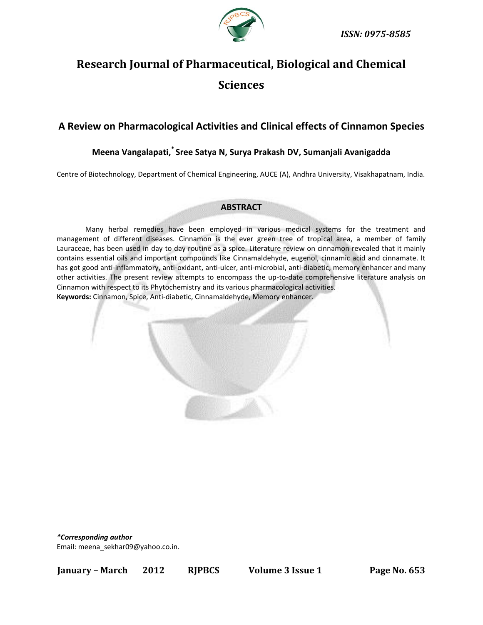

# **Research Journal of Pharmaceutical, Biological and Chemical Sciences**

## **A Review on Pharmacological Activities and Clinical effects of Cinnamon Species**

# **Meena Vangalapati,\* Sree Satya N, Surya Prakash DV, Sumanjali Avanigadda**

Centre of Biotechnology, Department of Chemical Engineering, AUCE (A), Andhra University, Visakhapatnam, India.

#### **ABSTRACT**

Many herbal remedies have been employed in various medical systems for the treatment and management of different diseases. Cinnamon is the ever green tree of tropical area, a member of family Lauraceae, has been used in day to day routine as a spice. Literature review on cinnamon revealed that it mainly contains essential oils and important compounds like Cinnamaldehyde, eugenol, cinnamic acid and cinnamate. It has got good anti-inflammatory, anti-oxidant, anti-ulcer, anti-microbial, anti-diabetic, memory enhancer and many other activities. The present review attempts to encompass the up-to-date comprehensive literature analysis on Cinnamon with respect to its Phytochemistry and its various pharmacological activities. **Keywords:** Cinnamon, Spice, Anti-diabetic, Cinnamaldehyde, Memory enhancer.



*\*Corresponding author*

Email: [meena\\_sekhar09@yahoo.co.in.](mailto:meena_sekhar09@yahoo.co.in)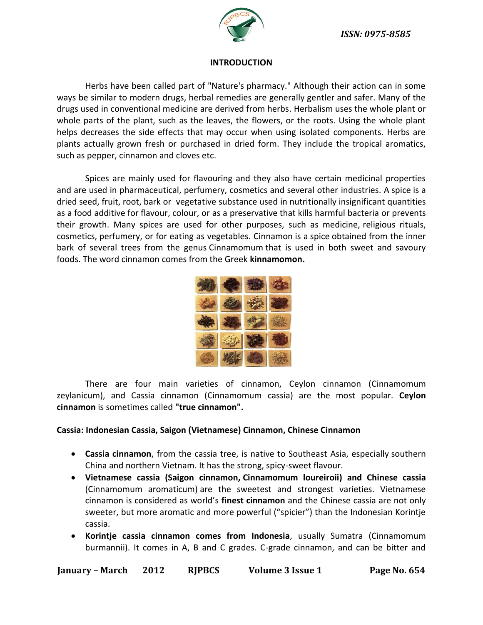

## **INTRODUCTION**

Herbs have been called part of "Nature's pharmacy." Although their action can in some ways be similar to modern drugs, herbal remedies are generally gentler and safer. Many of the drugs used in conventional medicine are derived from herbs. Herbalism uses the whole plant or whole parts of the plant, such as the leaves, the flowers, or the roots. Using the whole plant helps decreases the side effects that may occur when using isolated components. Herbs are plants actually grown fresh or purchased in dried form. They include the tropical aromatics, such as pepper, cinnamon and cloves etc.

Spices are mainly used for flavouring and they also have certain medicinal properties and are used in pharmaceutical, perfumery, cosmetics and several other industries. A spice is a dried [seed,](http://en.wikipedia.org/wiki/Seed) [fruit,](http://en.wikipedia.org/wiki/Fruit) [root,](http://en.wikipedia.org/wiki/Root) [bark](http://en.wikipedia.org/wiki/Bark) or [vegetative substance](http://en.wikipedia.org/wiki/Vegetable) used in [nutritionally](http://en.wikipedia.org/wiki/Nutrition) insignificant quantities as a [food additive](http://en.wikipedia.org/wiki/Food_additive) for [flavour,](http://en.wikipedia.org/wiki/Flavor) [colour,](http://en.wikipedia.org/wiki/Food_coloring) or as a preservative that kills harmful bacteria or prevents their growth. Many spices are used for other purposes, such as medicine, [religious rituals,](http://en.wikipedia.org/wiki/Ritual#Religious_rituals) cosmetics, [perfumery,](http://en.wikipedia.org/wiki/Perfumery) or for eating as vegetables. Cinnamon is a [spice](http://en.wikipedia.org/wiki/Spice) obtained from the inner bark of several trees from the genus [Cinnamomum](http://en.wikipedia.org/wiki/Cinnamomum) that is used in both sweet and savoury foods. The word cinnamon comes from the Greek **kinnamomon.**



There are four main varieties of cinnamon, Ceylon cinnamon (Cinnamomum zeylanicum), and Cassia cinnamon (Cinnamomum cassia) are the most popular. **Ceylon cinnamon** is sometimes called **"true cinnamon".**

## **Cassia: Indonesian Cassia, Saigon (Vietnamese) Cinnamon, Chinese Cinnamon**

- **Cassia cinnamon**, from the cassia tree, is native to Southeast Asia, especially southern China and northern Vietnam. It has the strong, spicy-sweet flavour.
- **Vietnamese cassia (Saigon cinnamon, Cinnamomum loureiroii) and Chinese cassia**  (Cinnamomum aromaticum) are the sweetest and strongest varieties. Vietnamese cinnamon is considered as world's **finest cinnamon** and the Chinese cassia are not only sweeter, but more aromatic and more powerful ("spicier") than the Indonesian Korintje cassia.
- **Korintje cassia cinnamon comes from Indonesia**, usually Sumatra (Cinnamomum burmannii). It comes in A, B and C grades. C-grade cinnamon, and can be bitter and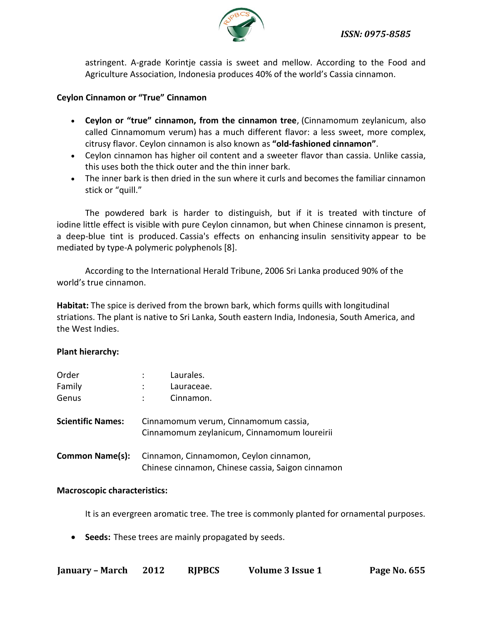

astringent. A-grade Korintje cassia is sweet and mellow. According to the Food and Agriculture Association, Indonesia produces 40% of the world's Cassia cinnamon.

## **Ceylon Cinnamon or "True" Cinnamon**

- **Ceylon or "true" cinnamon, from the cinnamon tree**, (Cinnamomum zeylanicum, also called Cinnamomum verum) has a much different flavor: a less sweet, more complex, citrusy flavor. Ceylon cinnamon is also known as **"old-fashioned cinnamon"**.
- Ceylon cinnamon has higher oil content and a sweeter flavor than cassia. Unlike cassia, this uses both the thick outer and the thin inner bark.
- The inner bark is then dried in the sun where it curls and becomes the familiar cinnamon stick or "quill."

The powdered bark is harder to distinguish, but if it is treated with [tincture of](http://en.wikipedia.org/wiki/Tincture_of_iodine)  [iodine](http://en.wikipedia.org/wiki/Tincture_of_iodine) little effect is visible with pure Ceylon cinnamon, but when [Chinese cinnamon](http://en.wikipedia.org/wiki/Cinnamomum_aromaticum) is present, a deep-blue tint is produced. Cassia's effects on enhancing [insulin sensitivity](http://en.wikipedia.org/wiki/Insulin_sensitivity) appear to be mediated by [type-A](http://en.wikipedia.org/wiki/A_type_proanthocyanidin) polymeric polyphenols [8].

According to the International Herald Tribune, 2006 Sri Lanka produced 90% of the world's true cinnamon.

**Habitat:** The spice is derived from the brown bark, which forms quills with longitudinal striations. The plant is native to Sri Lanka, South eastern India, Indonesia, South America, and the West Indies.

## **Plant hierarchy:**

| Order<br>Family          | Laurales.<br>Lauraceae.                                                                     |  |  |
|--------------------------|---------------------------------------------------------------------------------------------|--|--|
| Genus                    | Cinnamon.                                                                                   |  |  |
| <b>Scientific Names:</b> | Cinnamomum verum, Cinnamomum cassia,<br>Cinnamomum zeylanicum, Cinnamomum loureirii         |  |  |
| <b>Common Name(s):</b>   | Cinnamon, Cinnamomon, Ceylon cinnamon,<br>Chinese cinnamon, Chinese cassia, Saigon cinnamon |  |  |

## **Macroscopic characteristics:**

It is an evergreen aromatic tree. The tree is commonly planted for ornamental purposes.

**Seeds:** These trees are mainly propagated by seeds.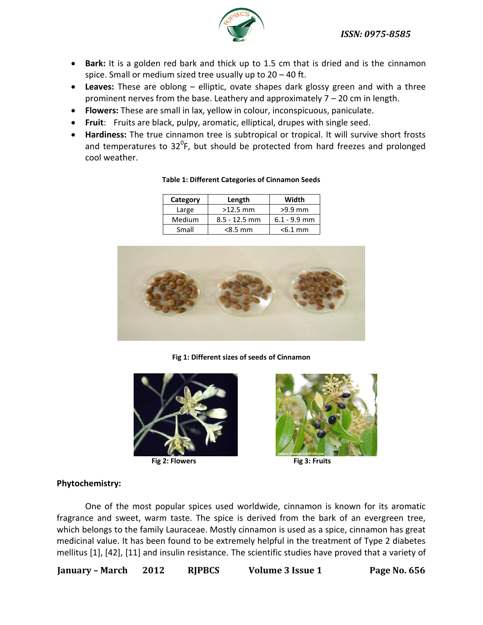*ISSN: 0975-8585*



- Bark: It is a golden red bark and thick up to 1.5 cm that is dried and is the cinnamon spice. Small or medium sized tree usually up to 20 – 40 ft.
- **Leaves:** These are oblong elliptic, ovate shapes dark glossy green and with a three prominent nerves from the base. Leathery and approximately 7 – 20 cm in length.
- **Flowers:** These are small in lax, yellow in colour, inconspicuous, paniculate.
- **Fruit**: Fruits are black, pulpy, aromatic, elliptical, drupes with single seed.
- **Hardiness:** The true cinnamon tree is subtropical or tropical. It will survive short frosts and temperatures to  $32^0$ F, but should be protected from hard freezes and prolonged cool weather.

| Category | Length          | Width          |
|----------|-----------------|----------------|
| Large    | $>12.5$ mm      | $>9.9$ mm      |
| Medium   | $8.5 - 12.5$ mm | $6.1 - 9.9$ mm |
| Small    | $< 8.5$ mm      | $< 6.1$ mm     |

#### **Table 1: Different Categories of Cinnamon Seeds**



**Fig 1: Different sizes of seeds of Cinnamon**



**Fig 2: Flowers Fig 3: Fruits**



## **Phytochemistry:**

One of the most popular spices used worldwide, cinnamon is known for its aromatic fragrance and sweet, warm taste. The spice is derived from the bark of an evergreen tree, which belongs to the family Lauraceae. Mostly cinnamon is used as a spice, cinnamon has great medicinal value. It has been found to be extremely helpful in the treatment of Type 2 diabetes mellitus [1], [42], [11] and insulin resistance. The scientific studies have proved that a variety of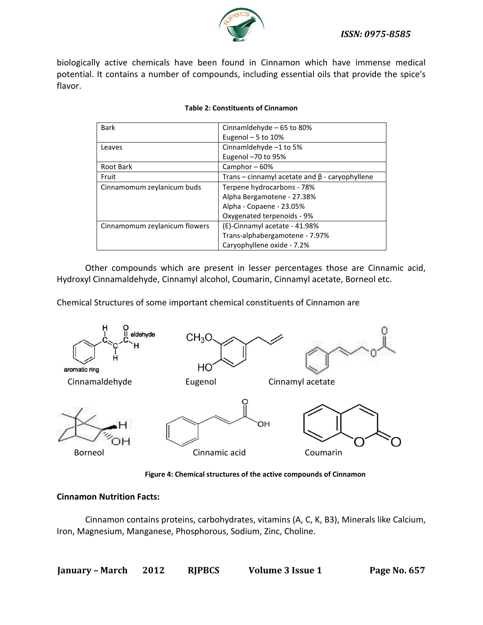

## *ISSN: 0975-8585*

biologically active chemicals have been found in Cinnamon which have immense medical potential. It contains a number of compounds, including essential oils that provide the spice's flavor.

| <b>Bark</b>                   | Cinnamldehyde - 65 to 80%                            |  |
|-------------------------------|------------------------------------------------------|--|
|                               | Eugenol $-5$ to 10%                                  |  |
| Leaves                        | Cinnamldehyde -1 to 5%                               |  |
|                               | Eugenol -70 to 95%                                   |  |
| Root Bark                     | Camphor-60%                                          |  |
| Fruit                         | Trans – cinnamyl acetate and $\beta$ - caryophyllene |  |
| Cinnamomum zeylanicum buds    | Terpene hydrocarbons - 78%                           |  |
|                               | Alpha Bergamotene - 27.38%                           |  |
|                               | Alpha - Copaene - 23.05%                             |  |
|                               | Oxygenated terpenoids - 9%                           |  |
| Cinnamomum zeylanicum flowers | (E)-Cinnamyl acetate - 41.98%                        |  |
|                               | Trans-alphabergamotene - 7.97%                       |  |
|                               | Caryophyllene oxide - 7.2%                           |  |

#### **Table 2: Constituents of Cinnamon**

Other compounds which are present in lesser percentages those are Cinnamic acid, Hydroxyl Cinnamaldehyde, Cinnamyl alcohol, Coumarin, Cinnamyl acetate, Borneol etc.

Chemical Structures of some important chemical constituents of Cinnamon are



**Figure 4: Chemical structures of the active compounds of Cinnamon**

#### **Cinnamon Nutrition Facts:**

Cinnamon contains proteins, carbohydrates, vitamins (A, C, K, B3), Minerals like Calcium, Iron, Magnesium, Manganese, Phosphorous, Sodium, Zinc, Choline.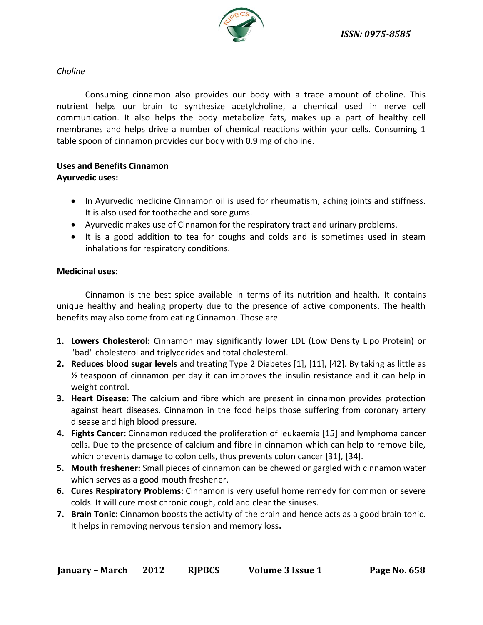

## *Choline*

Consuming cinnamon also provides our body with a trace amount of choline. This nutrient helps our brain to synthesize acetylcholine, a chemical used in nerve cell communication. It also helps the body metabolize fats, makes up a part of healthy cell membranes and helps drive a number of chemical reactions within your cells. Consuming 1 table spoon of cinnamon provides our body with 0.9 mg of choline.

# **Uses and Benefits Cinnamon**

## **Ayurvedic uses:**

- In Ayurvedic medicine Cinnamon oil is used for rheumatism, aching joints and stiffness. It is also used for toothache and sore gums.
- Ayurvedic makes use of Cinnamon for the respiratory tract and urinary problems.
- It is a good addition to tea for coughs and colds and is sometimes used in steam inhalations for respiratory conditions.

## **Medicinal uses:**

Cinnamon is the best spice available in terms of its nutrition and health. It contains unique healthy and healing property due to the presence of active components. The health benefits may also come from eating Cinnamon. Those are

- **1. Lowers Cholesterol:** Cinnamon may significantly lower LDL (Low Density Lipo Protein) or "bad" cholesterol and triglycerides and total cholesterol.
- **2. Reduces blood sugar levels** and treating Type 2 Diabetes [1], [11], [42]. By taking as little as ½ teaspoon of cinnamon per day it can improves the insulin resistance and it can help in weight control.
- **3. Heart Disease:** The calcium and fibre which are present in cinnamon provides protection against heart diseases. Cinnamon in the food helps those suffering from coronary artery disease and high blood pressure.
- **4. Fights Cancer:** Cinnamon reduced the proliferation of leukaemia [15] and lymphoma cancer cells. Due to the presence of calcium and fibre in cinnamon which can help to remove bile, which prevents damage to colon cells, thus prevents colon cancer [31], [34].
- **5. Mouth freshener:** Small pieces of cinnamon can be chewed or gargled with cinnamon water which serves as a good mouth freshener.
- **6. Cures Respiratory Problems:** Cinnamon is very useful home remedy for common or severe colds. It will cure most chronic cough, cold and clear the sinuses.
- **7. Brain Tonic:** Cinnamon boosts the activity of the brain and hence acts as a good brain tonic. It helps in removing nervous tension and memory loss**.**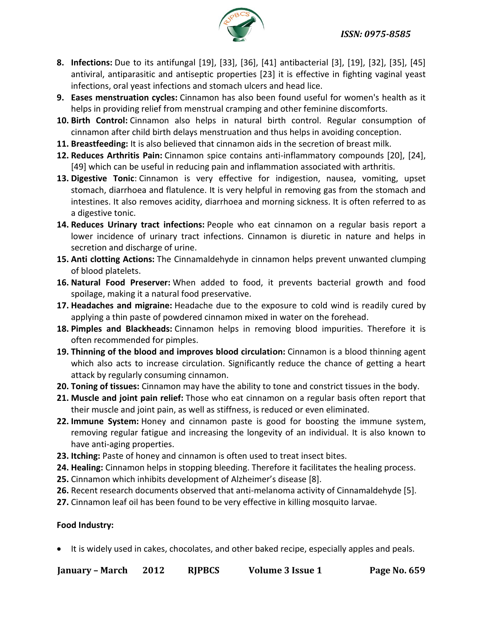

- **8. Infections:** Due to its antifungal [19], [33], [36], [41] antibacterial [3], [19], [32], [35], [45] antiviral, antiparasitic and antiseptic properties [23] it is effective in fighting vaginal yeast infections, oral yeast infections and stomach ulcers and head lice.
- **9. Eases menstruation cycles:** Cinnamon has also been found useful for women's health as it helps in providing relief from menstrual cramping and other feminine discomforts.
- **10. Birth Control:** Cinnamon also helps in natural birth control. Regular consumption of cinnamon after child birth delays menstruation and thus helps in avoiding conception.
- **11. Breastfeeding:** It is also believed that cinnamon aids in the secretion of breast milk.
- **12. Reduces Arthritis Pain:** Cinnamon spice contains anti-inflammatory compounds [20], [24], [49] which can be useful in reducing pain and inflammation associated with arthritis.
- **13. Digestive Tonic**: Cinnamon is very effective for indigestion, nausea, vomiting, upset stomach, diarrhoea and flatulence. It is very helpful in removing gas from the stomach and intestines. It also removes acidity, diarrhoea and morning sickness. It is often referred to as a digestive tonic.
- **14. Reduces Urinary tract infections:** People who eat cinnamon on a regular basis report a lower incidence of urinary tract infections. Cinnamon is diuretic in nature and helps in secretion and discharge of urine.
- **15. Anti clotting Actions:** The Cinnamaldehyde in cinnamon helps prevent unwanted clumping of blood platelets.
- **16. Natural Food Preserver:** When added to food, it prevents bacterial growth and food spoilage, making it a natural food preservative.
- **17. Headaches and migraine:** Headache due to the exposure to cold wind is readily cured by applying a thin paste of powdered cinnamon mixed in water on the forehead.
- **18. Pimples and Blackheads:** Cinnamon helps in removing blood impurities. Therefore it is often recommended for pimples.
- **19. Thinning of the blood and improves blood circulation:** Cinnamon is a blood thinning agent which also acts to increase circulation. Significantly reduce the chance of getting a heart attack by regularly consuming cinnamon.
- **20. Toning of tissues:** Cinnamon may have the ability to tone and constrict tissues in the body.
- **21. Muscle and joint pain relief:** Those who eat cinnamon on a regular basis often report that their muscle and joint pain, as well as stiffness, is reduced or even eliminated.
- **22. Immune System:** Honey and cinnamon paste is good for boosting the immune system, removing regular fatigue and increasing the longevity of an individual. It is also known to have anti-aging properties.
- **23. Itching:** Paste of honey and cinnamon is often used to treat insect bites.
- **24. Healing:** Cinnamon helps in stopping bleeding. Therefore it facilitates the healing process.
- **25.** Cinnamon which inhibits development of Alzheimer's disease [8].
- **26.** Recent research documents observed that anti-melanoma activity of Cinnamaldehyde [5].
- **27.** Cinnamon leaf oil has been found to be very effective in killing mosquito larvae.

## **Food Industry:**

It is widely used in cakes, chocolates, and other baked recipe, especially apples and peals.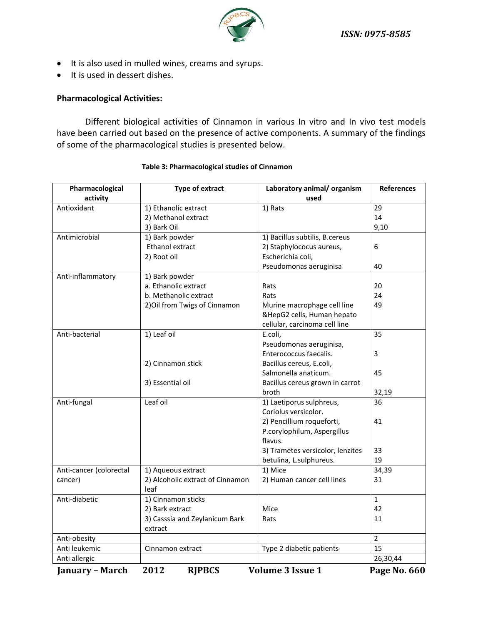

- It is also used in mulled wines, creams and syrups.
- It is used in dessert dishes.

## **Pharmacological Activities:**

Different biological activities of Cinnamon in various In vitro and In vivo test models have been carried out based on the presence of active components. A summary of the findings of some of the pharmacological studies is presented below.

| Pharmacological         | Type of extract                  | Laboratory animal/organism       | <b>References</b> |
|-------------------------|----------------------------------|----------------------------------|-------------------|
| activity                |                                  | used                             |                   |
| Antioxidant             | 1) Ethanolic extract             | 1) Rats                          | 29                |
|                         | 2) Methanol extract              |                                  | 14                |
|                         | 3) Bark Oil                      |                                  | 9,10              |
| Antimicrobial           | 1) Bark powder                   | 1) Bacillus subtilis, B.cereus   |                   |
|                         | Ethanol extract                  | 2) Staphylococus aureus,         | 6                 |
|                         | 2) Root oil                      | Escherichia coli,                |                   |
|                         |                                  | Pseudomonas aeruginisa           | 40                |
| Anti-inflammatory       | 1) Bark powder                   |                                  |                   |
|                         | a. Ethanolic extract             | Rats                             | 20                |
|                         | b. Methanolic extract            | Rats                             | 24                |
|                         | 2) Oil from Twigs of Cinnamon    | Murine macrophage cell line      | 49                |
|                         |                                  | &HepG2 cells, Human hepato       |                   |
|                         |                                  | cellular, carcinoma cell line    |                   |
| Anti-bacterial          | 1) Leaf oil                      | E.coli,                          | 35                |
|                         |                                  | Pseudomonas aeruginisa,          |                   |
|                         |                                  | Enterococcus faecalis.           | 3                 |
|                         | 2) Cinnamon stick                | Bacillus cereus, E.coli,         |                   |
|                         |                                  | Salmonella anaticum.             | 45                |
|                         | 3) Essential oil                 | Bacillus cereus grown in carrot  |                   |
|                         |                                  | broth                            | 32,19             |
| Anti-fungal             | Leaf oil                         | 1) Laetiporus sulphreus,         | 36                |
|                         |                                  | Coriolus versicolor.             |                   |
|                         |                                  | 2) Pencillium roqueforti,        | 41                |
|                         |                                  | P.corylophilum, Aspergillus      |                   |
|                         |                                  | flavus.                          |                   |
|                         |                                  | 3) Trametes versicolor, lenzites | 33                |
|                         |                                  | betulina, L.sulphureus.          | 19                |
| Anti-cancer (colorectal | 1) Aqueous extract               | 1) Mice                          | 34,39             |
| cancer)                 | 2) Alcoholic extract of Cinnamon | 2) Human cancer cell lines       | 31                |
|                         | leaf                             |                                  |                   |
| Anti-diabetic           | 1) Cinnamon sticks               |                                  | $\mathbf{1}$      |
|                         | 2) Bark extract                  | Mice                             | 42                |
|                         | 3) Casssia and Zeylanicum Bark   | Rats                             | 11                |
|                         | extract                          |                                  |                   |
| Anti-obesity            |                                  |                                  | $\overline{2}$    |
| Anti leukemic           | Cinnamon extract                 | Type 2 diabetic patients         | 15                |
| Anti allergic           |                                  |                                  | 26,30,44          |

#### **Table 3: Pharmacological studies of Cinnamon**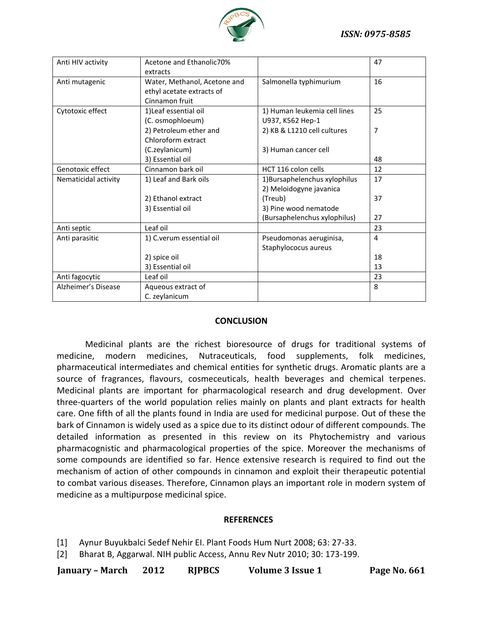

| Anti HIV activity    | Acetone and Ethanolic70%     |                               | 47 |
|----------------------|------------------------------|-------------------------------|----|
|                      | extracts                     |                               |    |
| Anti mutagenic       | Water, Methanol, Acetone and | Salmonella typhimurium        | 16 |
|                      | ethyl acetate extracts of    |                               |    |
|                      | Cinnamon fruit               |                               |    |
| Cytotoxic effect     | 1) Leaf essential oil        | 1) Human leukemia cell lines  | 25 |
|                      | (C. osmophloeum)             | U937, K562 Hep-1              |    |
|                      | 2) Petroleum ether and       | 2) KB & L1210 cell cultures   | 7  |
|                      | Chloroform extract           |                               |    |
|                      | (C.zeylanicum)               | 3) Human cancer cell          |    |
|                      | 3) Essential oil             |                               | 48 |
| Genotoxic effect     | Cinnamon bark oil            | HCT 116 colon cells           | 12 |
| Nematicidal activity | 1) Leaf and Bark oils        | 1) Bursaphelenchus xylophilus | 17 |
|                      |                              | 2) Meloidogyne javanica       |    |
|                      | 2) Ethanol extract           | (Treub)                       | 37 |
|                      | 3) Essential oil             | 3) Pine wood nematode         |    |
|                      |                              | (Bursaphelenchus xylophilus)  | 27 |
| Anti septic          | Leaf oil                     |                               | 23 |
| Anti parasitic       | 1) C.verum essential oil     | Pseudomonas aeruginisa,       | 4  |
|                      |                              | Staphylococus aureus          |    |
|                      | 2) spice oil                 |                               | 18 |
|                      | 3) Essential oil             |                               | 13 |
| Anti fagocytic       | Leaf oil                     |                               | 23 |
| Alzheimer's Disease  | Aqueous extract of           |                               | 8  |
|                      | C. zeylanicum                |                               |    |

## **CONCLUSION**

Medicinal plants are the richest bioresource of drugs for traditional systems of medicine, modern medicines, Nutraceuticals, food supplements, folk medicines, pharmaceutical intermediates and chemical entities for synthetic drugs. Aromatic plants are a source of fragrances, flavours, cosmeceuticals, health beverages and chemical terpenes. Medicinal plants are important for pharmacological research and drug development. Over three-quarters of the world population relies mainly on plants and plant extracts for health care. One fifth of all the plants found in India are used for medicinal purpose. Out of these the bark of Cinnamon is widely used as a spice due to its distinct odour of different compounds. The detailed information as presented in this review on its Phytochemistry and various pharmacognistic and pharmacological properties of the spice. Moreover the mechanisms of some compounds are identified so far. Hence extensive research is required to find out the mechanism of action of other compounds in cinnamon and exploit their therapeutic potential to combat various diseases. Therefore, Cinnamon plays an important role in modern system of medicine as a multipurpose medicinal spice.

#### **REFERENCES**

[1] Aynur Buyukbalci Sedef Nehir EI. Plant Foods Hum Nurt 2008; 63: 27-33.

[2] Bharat B, Aggarwal. NIH public Access, Annu Rev Nutr 2010; 30: 173-199.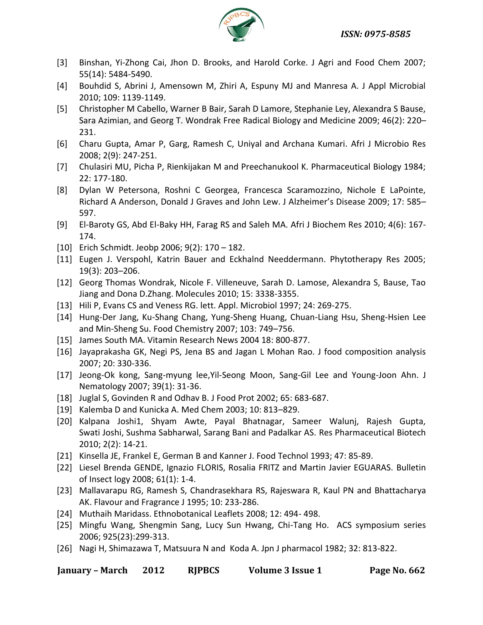

- [3] Binshan, Yi-Zhong Cai, Jhon D. Brooks, and Harold Corke. J Agri and Food Chem 2007; 55(14): 5484-5490.
- [4] Bouhdid S, Abrini J, Amensown M, Zhiri A, Espuny MJ and Manresa A. J Appl Microbial 2010; 109: 1139-1149.
- [5] Christopher M Cabello, Warner B Bair, Sarah D Lamore, Stephanie Ley, Alexandra S Bause, Sara Azimian, and Georg T. Wondrak Free Radical Biology and Medicine 2009; 46(2): 220– 231.
- [6] Charu Gupta, Amar P, Garg, Ramesh C, Uniyal and Archana Kumari. Afri J Microbio Res 2008; 2(9): 247-251.
- [7] Chulasiri MU, Picha P, Rienkijakan M and Preechanukool K. Pharmaceutical Biology 1984; 22: 177-180.
- [8] Dylan W Petersona, Roshni C Georgea, Francesca Scaramozzino, Nichole E LaPointe, Richard A Anderson, Donald J Graves and John Lew. J Alzheimer's Disease 2009; 17: 585– 597.
- [9] El-Baroty GS, Abd El-Baky HH, Farag RS and Saleh MA. Afri J Biochem Res 2010; 4(6): 167- 174.
- [10] Erich Schmidt. Jeobp 2006; 9(2): 170 182.
- [11] Eugen J. Verspohl, Katrin Bauer and Eckhalnd Needdermann. Phytotherapy Res 2005; [19\(3\):](http://onlinelibrary.wiley.com/doi/10.1002/ptr.v19:3/issuetoc) 203–206.
- [12] Georg Thomas Wondrak, Nicole F. Villeneuve, Sarah D. Lamose, Alexandra S, Bause, Tao Jiang and Dona D.Zhang. Molecules 2010; 15: 3338-3355.
- [13] Hili P, Evans CS and Veness RG. lett. Appl. Microbiol 1997; 24: 269-275.
- [14] Hung-Der Jang, Ku-Shang Chang, Yung-Sheng Huang, Chuan-Liang Hsu, Sheng-Hsien Lee and Min-Sheng Su. Food Chemistry 2007; 103: 749–756.
- [15] James South MA. Vitamin Research News 2004 18: 800-877.
- [16] Jayaprakasha GK, Negi PS, Jena BS and Jagan L Mohan Rao. J food composition analysis 2007; 20: 330-336.
- [17] Jeong-Ok kong, Sang-myung lee,Yil-Seong Moon, Sang-Gil Lee and Young-Joon Ahn. J Nematology 2007; 39(1): 31-36.
- [18] Juglal S, Govinden R and Odhav B. J Food Prot 2002; 65: 683-687.
- [19] Kalemba D and Kunicka A. Med Chem 2003; 10: 813–829.
- [20] Kalpana Joshi1, Shyam Awte, Payal Bhatnagar, Sameer Walunj, Rajesh Gupta, Swati Joshi, Sushma Sabharwal, Sarang Bani and Padalkar AS. Res Pharmaceutical Biotech 2010; 2(2): 14-21.
- [21] Kinsella JE, Frankel E, German B and Kanner J. Food Technol 1993; 47: 85-89.
- [22] Liesel Brenda GENDE, Ignazio FLORIS, Rosalia FRITZ and Martin Javier EGUARAS. Bulletin of Insect logy 2008; 61(1): 1-4.
- [23] Mallavarapu RG, Ramesh S, Chandrasekhara RS, Rajeswara R, Kaul PN and Bhattacharya AK. Flavour and Fragrance J 1995; 10: 233-286.
- [24] Muthaih Maridass. Ethnobotanical Leaflets 2008; 12: 494- 498.
- [25] Mingfu Wang, Shengmin Sang, Lucy Sun Hwang, Chi-Tang Ho. ACS symposium series 2006; 925(23):299-313.
- [26] Nagi H, Shimazawa T, Matsuura N and Koda A. Jpn J pharmacol 1982; 32: 813-822.